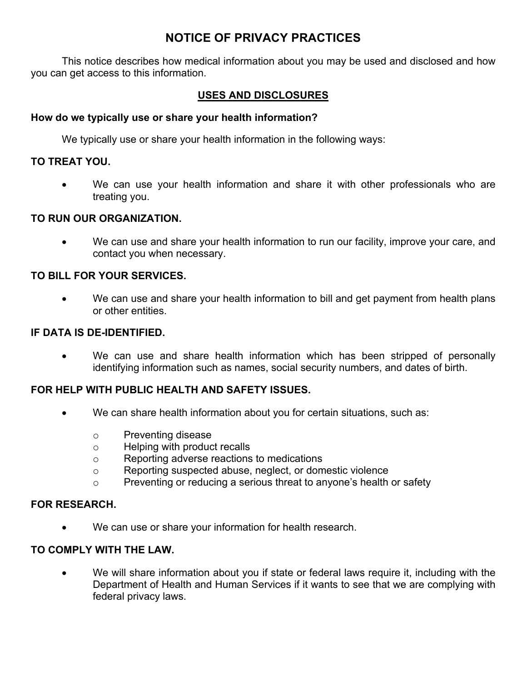# **NOTICE OF PRIVACY PRACTICES**

This notice describes how medical information about you may be used and disclosed and how you can get access to this information.

### **USES AND DISCLOSURES**

#### **How do we typically use or share your health information?**

We typically use or share your health information in the following ways:

#### **TO TREAT YOU.**

We can use your health information and share it with other professionals who are treating you.

#### **TO RUN OUR ORGANIZATION.**

• We can use and share your health information to run our facility, improve your care, and contact you when necessary.

#### **TO BILL FOR YOUR SERVICES.**

• We can use and share your health information to bill and get payment from health plans or other entities.

#### **IF DATA IS DE-IDENTIFIED.**

We can use and share health information which has been stripped of personally identifying information such as names, social security numbers, and dates of birth.

### **FOR HELP WITH PUBLIC HEALTH AND SAFETY ISSUES.**

- We can share health information about you for certain situations, such as:
	- o Preventing disease
	- o Helping with product recalls
	- o Reporting adverse reactions to medications
	- o Reporting suspected abuse, neglect, or domestic violence
	- o Preventing or reducing a serious threat to anyone's health or safety

#### **FOR RESEARCH.**

• We can use or share your information for health research.

#### **TO COMPLY WITH THE LAW.**

• We will share information about you if state or federal laws require it, including with the Department of Health and Human Services if it wants to see that we are complying with federal privacy laws.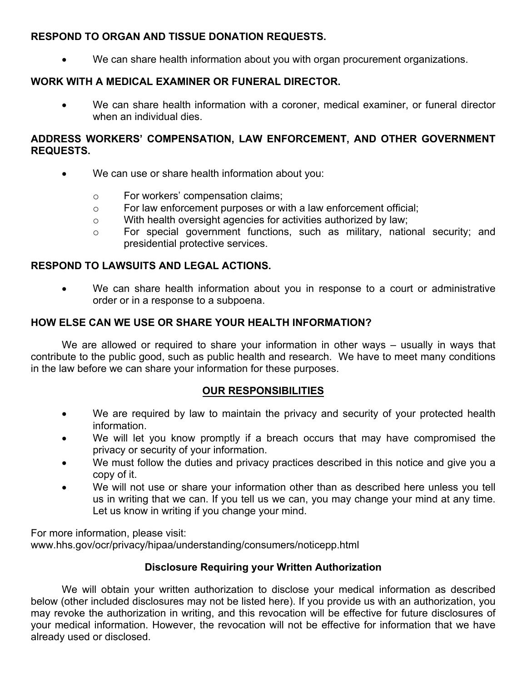### **RESPOND TO ORGAN AND TISSUE DONATION REQUESTS.**

• We can share health information about you with organ procurement organizations.

## **WORK WITH A MEDICAL EXAMINER OR FUNERAL DIRECTOR.**

• We can share health information with a coroner, medical examiner, or funeral director when an individual dies.

#### **ADDRESS WORKERS' COMPENSATION, LAW ENFORCEMENT, AND OTHER GOVERNMENT REQUESTS.**

- We can use or share health information about you:
	- o For workers' compensation claims;
	- o For law enforcement purposes or with a law enforcement official;
	- o With health oversight agencies for activities authorized by law;
	- o For special government functions, such as military, national security; and presidential protective services.

### **RESPOND TO LAWSUITS AND LEGAL ACTIONS.**

• We can share health information about you in response to a court or administrative order or in a response to a subpoena.

### **HOW ELSE CAN WE USE OR SHARE YOUR HEALTH INFORMATION?**

We are allowed or required to share your information in other ways – usually in ways that contribute to the public good, such as public health and research. We have to meet many conditions in the law before we can share your information for these purposes.

### **OUR RESPONSIBILITIES**

- We are required by law to maintain the privacy and security of your protected health information.
- We will let you know promptly if a breach occurs that may have compromised the privacy or security of your information.
- We must follow the duties and privacy practices described in this notice and give you a copy of it.
- We will not use or share your information other than as described here unless you tell us in writing that we can. If you tell us we can, you may change your mind at any time. Let us know in writing if you change your mind.

For more information, please visit: www.hhs.gov/ocr/privacy/hipaa/understanding/consumers/noticepp.html

### **Disclosure Requiring your Written Authorization**

We will obtain your written authorization to disclose your medical information as described below (other included disclosures may not be listed here). If you provide us with an authorization, you may revoke the authorization in writing, and this revocation will be effective for future disclosures of your medical information. However, the revocation will not be effective for information that we have already used or disclosed.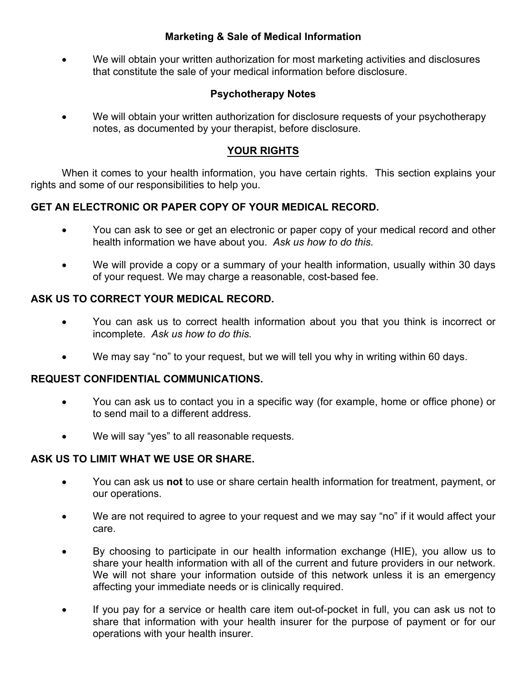### **Marketing & Sale of Medical Information**

• We will obtain your written authorization for most marketing activities and disclosures that constitute the sale of your medical information before disclosure.

### **Psychotherapy Notes**

We will obtain your written authorization for disclosure requests of your psychotherapy notes, as documented by your therapist, before disclosure.

### **YOUR RIGHTS**

When it comes to your health information, you have certain rights. This section explains your rights and some of our responsibilities to help you.

### **GET AN ELECTRONIC OR PAPER COPY OF YOUR MEDICAL RECORD.**

- You can ask to see or get an electronic or paper copy of your medical record and other health information we have about you. *Ask us how to do this.*
- We will provide a copy or a summary of your health information, usually within 30 days of your request. We may charge a reasonable, cost-based fee.

### **ASK US TO CORRECT YOUR MEDICAL RECORD.**

- You can ask us to correct health information about you that you think is incorrect or incomplete. *Ask us how to do this.*
- We may say "no" to your request, but we will tell you why in writing within 60 days.

### **REQUEST CONFIDENTIAL COMMUNICATIONS.**

- You can ask us to contact you in a specific way (for example, home or office phone) or to send mail to a different address.
- We will say "yes" to all reasonable requests.

### **ASK US TO LIMIT WHAT WE USE OR SHARE.**

- You can ask us **not** to use or share certain health information for treatment, payment, or our operations.
- We are not required to agree to your request and we may say "no" if it would affect your care.
- By choosing to participate in our health information exchange (HIE), you allow us to share your health information with all of the current and future providers in our network. We will not share your information outside of this network unless it is an emergency affecting your immediate needs or is clinically required.
- If you pay for a service or health care item out-of-pocket in full, you can ask us not to share that information with your health insurer for the purpose of payment or for our operations with your health insurer.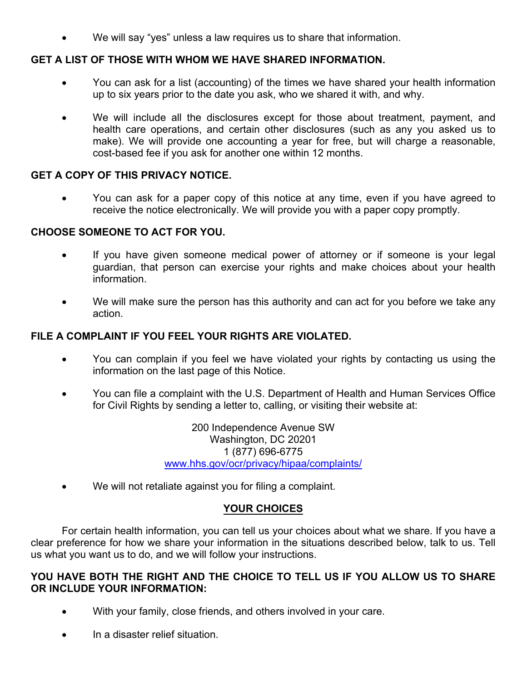We will say "yes" unless a law requires us to share that information.

#### **GET A LIST OF THOSE WITH WHOM WE HAVE SHARED INFORMATION.**

- You can ask for a list (accounting) of the times we have shared your health information up to six years prior to the date you ask, who we shared it with, and why.
- We will include all the disclosures except for those about treatment, payment, and health care operations, and certain other disclosures (such as any you asked us to make). We will provide one accounting a year for free, but will charge a reasonable, cost-based fee if you ask for another one within 12 months.

#### **GET A COPY OF THIS PRIVACY NOTICE.**

• You can ask for a paper copy of this notice at any time, even if you have agreed to receive the notice electronically. We will provide you with a paper copy promptly.

#### **CHOOSE SOMEONE TO ACT FOR YOU.**

- If you have given someone medical power of attorney or if someone is your legal guardian, that person can exercise your rights and make choices about your health information.
- We will make sure the person has this authority and can act for you before we take any action.

#### **FILE A COMPLAINT IF YOU FEEL YOUR RIGHTS ARE VIOLATED.**

- You can complain if you feel we have violated your rights by contacting us using the information on the last page of this Notice.
- You can file a complaint with the U.S. Department of Health and Human Services Office for Civil Rights by sending a letter to, calling, or visiting their website at:

200 Independence Avenue SW Washington, DC 20201 1 (877) 696-6775 www.hhs.gov/ocr/privacy/hipaa/complaints/

We will not retaliate against you for filing a complaint.

### **YOUR CHOICES**

For certain health information, you can tell us your choices about what we share. If you have a clear preference for how we share your information in the situations described below, talk to us. Tell us what you want us to do, and we will follow your instructions.

#### **YOU HAVE BOTH THE RIGHT AND THE CHOICE TO TELL US IF YOU ALLOW US TO SHARE OR INCLUDE YOUR INFORMATION:**

- With your family, close friends, and others involved in your care.
- In a disaster relief situation.